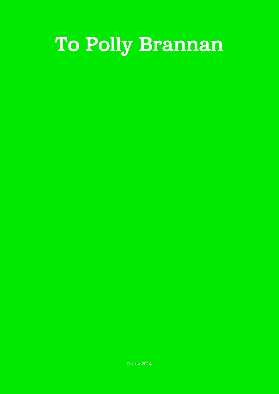## **To Polly Brannan**